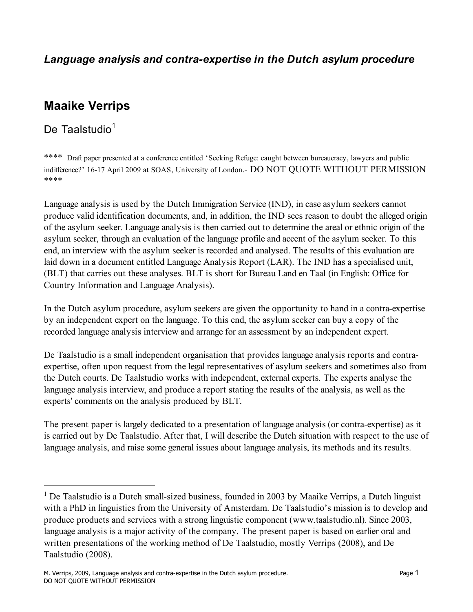#### *Language analysis and contra-expertise in the Dutch asylum procedure*

# **Maaike Verrips**

De Taalstudio $1$ 

\*\*\*\* Draft paper presented at a conference entitled 'Seeking Refuge: caught between bureaucracy, lawyers and public indifference?' 16-17 April 2009 at SOAS, University of London.- DO NOT QUOTE WITHOUT PERMISSION \*\*\*\*

Language analysis is used by the Dutch Immigration Service (IND), in case asylum seekers cannot produce valid identification documents, and, in addition, the IND sees reason to doubt the alleged origin of the asylum seeker. Language analysis is then carried out to determine the areal or ethnic origin of the asylum seeker, through an evaluation of the language profile and accent of the asylum seeker. To this end, an interview with the asylum seeker is recorded and analysed. The results of this evaluation are laid down in a document entitled Language Analysis Report (LAR). The IND has a specialised unit, (BLT) that carries out these analyses. BLT is short for Bureau Land en Taal (in English: Office for Country Information and Language Analysis).

In the Dutch asylum procedure, asylum seekers are given the opportunity to hand in a contra-expertise by an independent expert on the language. To this end, the asylum seeker can buy a copy of the recorded language analysis interview and arrange for an assessment by an independent expert.

De Taalstudio is a small independent organisation that provides language analysis reports and contraexpertise, often upon request from the legal representatives of asylum seekers and sometimes also from the Dutch courts. De Taalstudio works with independent, external experts. The experts analyse the language analysis interview, and produce a report stating the results of the analysis, as well as the experts' comments on the analysis produced by BLT.

The present paper is largely dedicated to a presentation of language analysis (or contra-expertise) as it is carried out by De Taalstudio. After that, I will describe the Dutch situation with respect to the use of language analysis, and raise some general issues about language analysis, its methods and its results.

<sup>|&</sup>lt;br>|<br>| <sup>1</sup> De Taalstudio is a Dutch small-sized business, founded in 2003 by Maaike Verrips, a Dutch linguist with a PhD in linguistics from the University of Amsterdam. De Taalstudio's mission is to develop and produce products and services with a strong linguistic component (www.taalstudio.nl). Since 2003, language analysis is a major activity of the company. The present paper is based on earlier oral and written presentations of the working method of De Taalstudio, mostly Verrips (2008), and De Taalstudio (2008).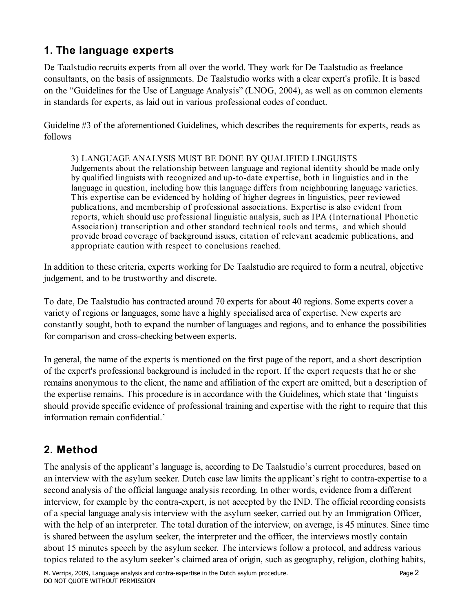#### **1. The language experts**

De Taalstudio recruits experts from all over the world. They work for De Taalstudio as freelance consultants, on the basis of assignments. De Taalstudio works with a clear expert's profile. It is based on the "Guidelines for the Use of Language Analysis" (LNOG, 2004), as well as on common elements in standards for experts, as laid out in various professional codes of conduct.

Guideline #3 of the aforementioned Guidelines, which describes the requirements for experts, reads as follows

#### 3) LANGUAGE ANALYSIS MUST BE DONE BY QUALIFIED LINGUISTS

Judgements about the relationship between language and regional identity should be made only by qualified linguists with recognized and up-to-date expertise, both in linguistics and in the language in question, including how this language differs from neighbouring language varieties. This expertise can be evidenced by holding of higher degrees in linguistics, peer reviewed publications, and membership of professional associations. Expertise is also evident from reports, which should use professional linguistic analysis, such as IPA (International Phonetic Association) transcription and other standard technical tools and terms, and which should provide broad coverage of background issues, citation of relevant academic publications, and appropriate caution with respect to conclusions reached.

In addition to these criteria, experts working for De Taalstudio are required to form a neutral, objective judgement, and to be trustworthy and discrete.

To date, De Taalstudio has contracted around 70 experts for about 40 regions. Some experts cover a variety of regions or languages, some have a highly specialised area of expertise. New experts are constantly sought, both to expand the number of languages and regions, and to enhance the possibilities for comparison and cross-checking between experts.

In general, the name of the experts is mentioned on the first page of the report, and a short description of the expert's professional background is included in the report. If the expert requests that he or she remains anonymous to the client, the name and affiliation of the expert are omitted, but a description of the expertise remains. This procedure is in accordance with the Guidelines, which state that 'linguists should provide specific evidence of professional training and expertise with the right to require that this information remain confidential.'

### **2. Method**

The analysis of the applicant's language is, according to De Taalstudio's current procedures, based on an interview with the asylum seeker. Dutch case law limits the applicant's right to contra-expertise to a second analysis of the official language analysis recording. In other words, evidence from a different interview, for example by the contra-expert, is not accepted by the IND. The official recording consists of a special language analysis interview with the asylum seeker, carried out by an Immigration Officer, with the help of an interpreter. The total duration of the interview, on average, is 45 minutes. Since time is shared between the asylum seeker, the interpreter and the officer, the interviews mostly contain about 15 minutes speech by the asylum seeker. The interviews follow a protocol, and address various topics related to the asylum seeker's claimed area of origin, such as geography, religion, clothing habits,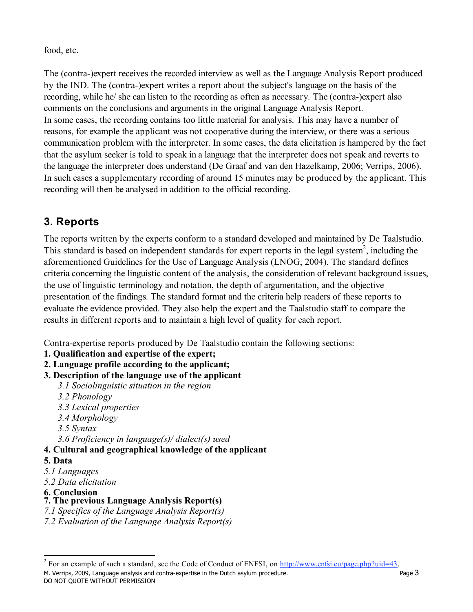food, etc.

The (contra-)expert receives the recorded interview as well as the Language Analysis Report produced by the IND. The (contra-)expert writes a report about the subject's language on the basis of the recording, while he/ she can listen to the recording as often as necessary. The (contra-)expert also comments on the conclusions and arguments in the original Language Analysis Report. In some cases, the recording contains too little material for analysis. This may have a number of reasons, for example the applicant was not cooperative during the interview, or there was a serious communication problem with the interpreter. In some cases, the data elicitation is hampered by the fact that the asylum seeker is told to speak in a language that the interpreter does not speak and reverts to the language the interpreter does understand (De Graaf and van den Hazelkamp, 2006; Verrips, 2006). In such cases a supplementary recording of around 15 minutes may be produced by the applicant. This recording will then be analysed in addition to the official recording.

## **3. Reports**

The reports written by the experts conform to a standard developed and maintained by De Taalstudio. This standard is based on independent standards for expert reports in the legal system<sup>2</sup>, including the aforementioned Guidelines for the Use of Language Analysis (LNOG, 2004). The standard defines criteria concerning the linguistic content of the analysis, the consideration of relevant background issues, the use of linguistic terminology and notation, the depth of argumentation, and the objective presentation of the findings. The standard format and the criteria help readers of these reports to evaluate the evidence provided. They also help the expert and the Taalstudio staff to compare the results in different reports and to maintain a high level of quality for each report.

Contra-expertise reports produced by De Taalstudio contain the following sections:

- **1. Qualification and expertise of the expert;**
- **2. Language profile according to the applicant;**

#### **3. Description of the language use of the applicant**

- *3.1 Sociolinguistic situation in the region*
- *3.2 Phonology*
- *3.3 Lexical properties*
- *3.4 Morphology*
- *3.5 Syntax*

*3.6 Proficiency in language(s)/ dialect(s) used*

#### **4. Cultural and geographical knowledge of the applicant**

#### **5. Data**

- *5.1 Languages*
- *5.2 Data elicitation*
- **6. Conclusion**

#### **7. The previous Language Analysis Report(s)**

- *7.1 Specifics of the Language Analysis Report(s)*
- *7.2 Evaluation of the Language Analysis Report(s)*

DO NOT QUOTE WITHOUT PERMISSION

M. Verrips, 2009, Language analysis and contra-expertise in the Dutch asylum procedure.  $\frac{1}{2}$ <sup>2</sup> For an example of such a standard, see the Code of Conduct of ENFSI, on  $\frac{http://www.enfsi.eu/page.php?uid=43.}$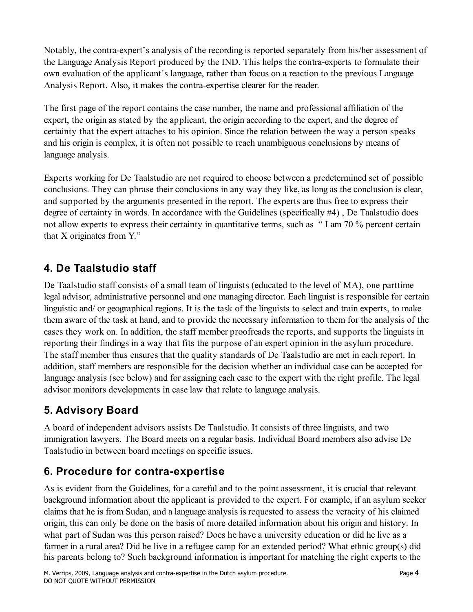Notably, the contra-expert's analysis of the recording is reported separately from his/her assessment of the Language Analysis Report produced by the IND. This helps the contra-experts to formulate their own evaluation of the applicant´s language, rather than focus on a reaction to the previous Language Analysis Report. Also, it makes the contra-expertise clearer for the reader.

The first page of the report contains the case number, the name and professional affiliation of the expert, the origin as stated by the applicant, the origin according to the expert, and the degree of certainty that the expert attaches to his opinion. Since the relation between the way a person speaks and his origin is complex, it is often not possible to reach unambiguous conclusions by means of language analysis.

Experts working for De Taalstudio are not required to choose between a predetermined set of possible conclusions. They can phrase their conclusions in any way they like, as long as the conclusion is clear, and supported by the arguments presented in the report. The experts are thus free to express their degree of certainty in words. In accordance with the Guidelines (specifically #4) , De Taalstudio does not allow experts to express their certainty in quantitative terms, such as " I am 70 % percent certain that X originates from Y."

## **4. De Taalstudio staff**

De Taalstudio staff consists of a small team of linguists (educated to the level of MA), one parttime legal advisor, administrative personnel and one managing director. Each linguist is responsible for certain linguistic and/ or geographical regions. It is the task of the linguists to select and train experts, to make them aware of the task at hand, and to provide the necessary information to them for the analysis of the cases they work on. In addition, the staff member proofreads the reports, and supports the linguists in reporting their findings in a way that fits the purpose of an expert opinion in the asylum procedure. The staff member thus ensures that the quality standards of De Taalstudio are met in each report. In addition, staff members are responsible for the decision whether an individual case can be accepted for language analysis (see below) and for assigning each case to the expert with the right profile. The legal advisor monitors developments in case law that relate to language analysis.

### **5. Advisory Board**

A board of independent advisors assists De Taalstudio. It consists of three linguists, and two immigration lawyers. The Board meets on a regular basis. Individual Board members also advise De Taalstudio in between board meetings on specific issues.

### **6. Procedure for contra-expertise**

As is evident from the Guidelines, for a careful and to the point assessment, it is crucial that relevant background information about the applicant is provided to the expert. For example, if an asylum seeker claims that he is from Sudan, and a language analysis is requested to assess the veracity of his claimed origin, this can only be done on the basis of more detailed information about his origin and history. In what part of Sudan was this person raised? Does he have a university education or did he live as a farmer in a rural area? Did he live in a refugee camp for an extended period? What ethnic group(s) did his parents belong to? Such background information is important for matching the right experts to the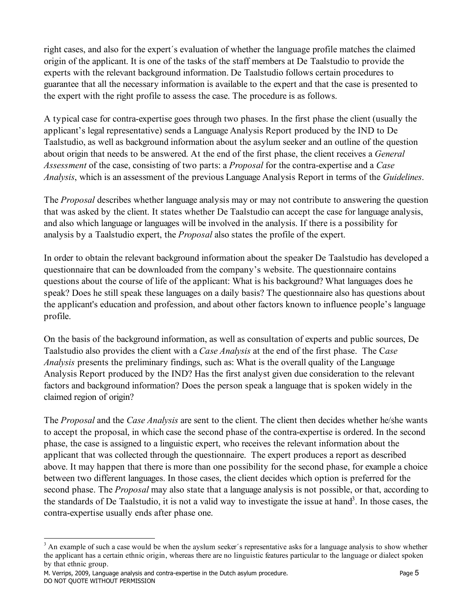right cases, and also for the expert´s evaluation of whether the language profile matches the claimed origin of the applicant. It is one of the tasks of the staff members at De Taalstudio to provide the experts with the relevant background information. De Taalstudio follows certain procedures to guarantee that all the necessary information is available to the expert and that the case is presented to the expert with the right profile to assess the case. The procedure is as follows.

A typical case for contra-expertise goes through two phases. In the first phase the client (usually the applicant's legal representative) sends a Language Analysis Report produced by the IND to De Taalstudio, as well as background information about the asylum seeker and an outline of the question about origin that needs to be answered. At the end of the first phase, the client receives a *General Assessment* of the case, consisting of two parts: a *Proposal* for the contra-expertise and a *Case Analysis*, which is an assessment of the previous Language Analysis Report in terms of the *Guidelines*.

The *Proposal* describes whether language analysis may or may not contribute to answering the question that was asked by the client. It states whether De Taalstudio can accept the case for language analysis, and also which language or languages will be involved in the analysis. If there is a possibility for analysis by a Taalstudio expert, the *Proposal* also states the profile of the expert.

In order to obtain the relevant background information about the speaker De Taalstudio has developed a questionnaire that can be downloaded from the company's website. The questionnaire contains questions about the course of life of the applicant: What is his background? What languages does he speak? Does he still speak these languages on a daily basis? The questionnaire also has questions about the applicant's education and profession, and about other factors known to influence people's language profile.

On the basis of the background information, as well as consultation of experts and public sources, De Taalstudio also provides the client with a *Case Analysis* at the end of the first phase. The C*ase Analysis* presents the preliminary findings, such as: What is the overall quality of the Language Analysis Report produced by the IND? Has the first analyst given due consideration to the relevant factors and background information? Does the person speak a language that is spoken widely in the claimed region of origin?

The *Proposal* and the *Case Analysis* are sent to the client. The client then decides whether he/she wants to accept the proposal, in which case the second phase of the contra-expertise is ordered. In the second phase, the case is assigned to a linguistic expert, who receives the relevant information about the applicant that was collected through the questionnaire. The expert produces a report as described above. It may happen that there is more than one possibility for the second phase, for example a choice between two different languages. In those cases, the client decides which option is preferred for the second phase. The *Proposal* may also state that a language analysis is not possible, or that, according to the standards of De Taalstudio, it is not a valid way to investigate the issue at hand<sup>3</sup>. In those cases, the contra-expertise usually ends after phase one.

M. Verrips, 2009, Language analysis and contra-expertise in the Dutch asylum procedure. Page 5 DO NOT QUOTE WITHOUT PERMISSION

 $3$  An example of such a case would be when the ayslum seeker's representative asks for a language analysis to show whether the applicant has a certain ethnic origin, whereas there are no linguistic features particular to the language or dialect spoken by that ethnic group.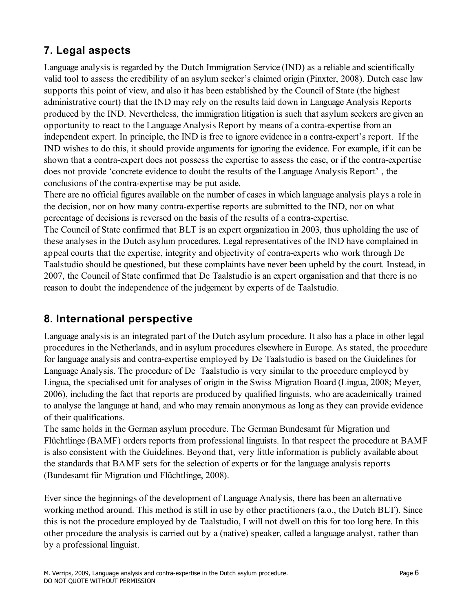## **7. Legal aspects**

Language analysis is regarded by the Dutch Immigration Service (IND) as a reliable and scientifically valid tool to assess the credibility of an asylum seeker's claimed origin (Pinxter, 2008). Dutch case law supports this point of view, and also it has been established by the Council of State (the highest administrative court) that the IND may rely on the results laid down in Language Analysis Reports produced by the IND. Nevertheless, the immigration litigation is such that asylum seekers are given an opportunity to react to the Language Analysis Report by means of a contra-expertise from an independent expert. In principle, the IND is free to ignore evidence in a contra-expert's report. If the IND wishes to do this, it should provide arguments for ignoring the evidence. For example, if it can be shown that a contra-expert does not possess the expertise to assess the case, or if the contra-expertise does not provide 'concrete evidence to doubt the results of the Language Analysis Report' , the conclusions of the contra-expertise may be put aside.

There are no official figures available on the number of cases in which language analysis plays a role in the decision, nor on how many contra-expertise reports are submitted to the IND, nor on what percentage of decisions is reversed on the basis of the results of a contra-expertise.

The Council of State confirmed that BLT is an expert organization in 2003, thus upholding the use of these analyses in the Dutch asylum procedures. Legal representatives of the IND have complained in appeal courts that the expertise, integrity and objectivity of contra-experts who work through De Taalstudio should be questioned, but these complaints have never been upheld by the court. Instead, in 2007, the Council of State confirmed that De Taalstudio is an expert organisation and that there is no reason to doubt the independence of the judgement by experts of de Taalstudio.

#### **8. International perspective**

Language analysis is an integrated part of the Dutch asylum procedure. It also has a place in other legal procedures in the Netherlands, and in asylum procedures elsewhere in Europe. As stated, the procedure for language analysis and contra-expertise employed by De Taalstudio is based on the Guidelines for Language Analysis. The procedure of De Taalstudio is very similar to the procedure employed by Lingua, the specialised unit for analyses of origin in the Swiss Migration Board (Lingua, 2008; Meyer, 2006), including the fact that reports are produced by qualified linguists, who are academically trained to analyse the language at hand, and who may remain anonymous as long as they can provide evidence of their qualifications.

The same holds in the German asylum procedure. The German Bundesamt fùr Migration und Flüchtlinge (BAMF) orders reports from professional linguists. In that respect the procedure at BAMF is also consistent with the Guidelines. Beyond that, very little information is publicly available about the standards that BAMF sets for the selection of experts or for the language analysis reports (Bundesamt für Migration und Flüchtlinge, 2008).

Ever since the beginnings of the development of Language Analysis, there has been an alternative working method around. This method is still in use by other practitioners (a.o., the Dutch BLT). Since this is not the procedure employed by de Taalstudio, I will not dwell on this for too long here. In this other procedure the analysis is carried out by a (native) speaker, called a language analyst, rather than by a professional linguist.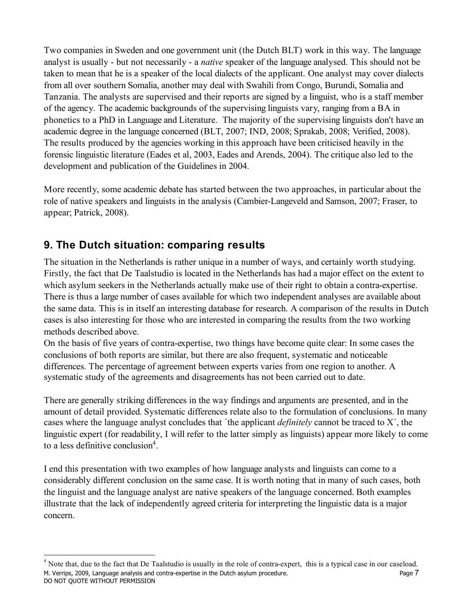Two companies in Sweden and one government unit (the Dutch BLT) work in this way. The language analyst is usually - but not necessarily - a *native* speaker of the language analysed. This should not be taken to mean that he is a speaker of the local dialects of the applicant. One analyst may cover dialects from all over southern Somalia, another may deal with Swahili from Congo, Burundi, Somalia and Tanzania. The analysts are supervised and their reports are signed by a linguist, who is a staff member of the agency. The academic backgrounds of the supervising linguists vary, ranging from a BA in phonetics to a PhD in Language and Literature. The majority of the supervising linguists don't have an academic degree in the language concerned (BLT, 2007; IND, 2008; Sprakab, 2008; Verified, 2008). The results produced by the agencies working in this approach have been criticised heavily in the forensic linguistic literature (Eades et al, 2003, Eades and Arends, 2004). The critique also led to the development and publication of the Guidelines in 2004.

More recently, some academic debate has started between the two approaches, in particular about the role of native speakers and linguists in the analysis (Cambier-Langeveld and Samson, 2007; Fraser, to appear; Patrick, 2008).

### **9. The Dutch situation: comparing results**

The situation in the Netherlands is rather unique in a number of ways, and certainly worth studying. Firstly, the fact that De Taalstudio is located in the Netherlands has had a major effect on the extent to which asylum seekers in the Netherlands actually make use of their right to obtain a contra-expertise. There is thus a large number of cases available for which two independent analyses are available about the same data. This is in itself an interesting database for research. A comparison of the results in Dutch cases is also interesting for those who are interested in comparing the results from the two working methods described above.

On the basis of five years of contra-expertise, two things have become quite clear: In some cases the conclusions of both reports are similar, but there are also frequent, systematic and noticeable differences. The percentage of agreement between experts varies from one region to another. A systematic study of the agreements and disagreements has not been carried out to date.

There are generally striking differences in the way findings and arguments are presented, and in the amount of detail provided. Systematic differences relate also to the formulation of conclusions. In many cases where the language analyst concludes that ´the applicant *definitely* cannot be traced to X´, the linguistic expert (for readability, I will refer to the latter simply as linguists) appear more likely to come to a less definitive conclusion<sup>4</sup>.

I end this presentation with two examples of how language analysts and linguists can come to a considerably different conclusion on the same case. It is worth noting that in many of such cases, both the linguist and the language analyst are native speakers of the language concerned. Both examples illustrate that the lack of independently agreed criteria for interpreting the linguistic data is a major concern.

M. Verrips, 2009, Language analysis and contra-expertise in the Dutch asylum procedure. DO NOT QUOTE WITHOUT PERMISSION  $<sup>4</sup>$  Note that, due to the fact that De Taalstudio is usually in the role of contra-expert, this is a typical case in our caseload.</sup>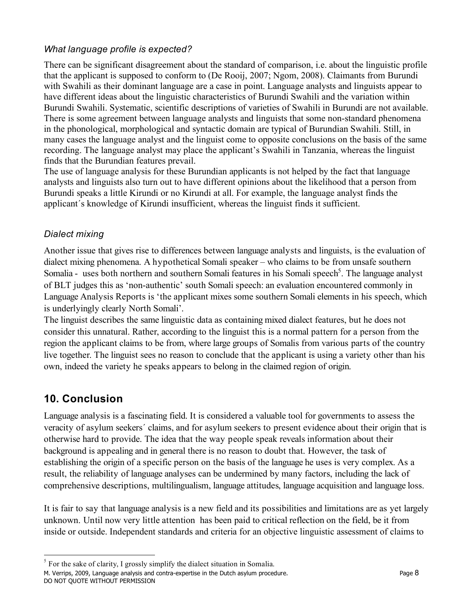#### *What language profile is expected?*

There can be significant disagreement about the standard of comparison, i.e. about the linguistic profile that the applicant is supposed to conform to (De Rooij, 2007; Ngom, 2008). Claimants from Burundi with Swahili as their dominant language are a case in point. Language analysts and linguists appear to have different ideas about the linguistic characteristics of Burundi Swahili and the variation within Burundi Swahili. Systematic, scientific descriptions of varieties of Swahili in Burundi are not available. There is some agreement between language analysts and linguists that some non-standard phenomena in the phonological, morphological and syntactic domain are typical of Burundian Swahili. Still, in many cases the language analyst and the linguist come to opposite conclusions on the basis of the same recording. The language analyst may place the applicant's Swahili in Tanzania, whereas the linguist finds that the Burundian features prevail.

The use of language analysis for these Burundian applicants is not helped by the fact that language analysts and linguists also turn out to have different opinions about the likelihood that a person from Burundi speaks a little Kirundi or no Kirundi at all. For example, the language analyst finds the applicant´s knowledge of Kirundi insufficient, whereas the linguist finds it sufficient.

#### *Dialect mixing*

Another issue that gives rise to differences between language analysts and linguists, is the evaluation of dialect mixing phenomena. A hypothetical Somali speaker – who claims to be from unsafe southern Somalia - uses both northern and southern Somali features in his Somali speech<sup>5</sup>. The language analyst of BLT judges this as 'non-authentic' south Somali speech: an evaluation encountered commonly in Language Analysis Reports is 'the applicant mixes some southern Somali elements in his speech, which is underlyingly clearly North Somali'.

The linguist describes the same linguistic data as containing mixed dialect features, but he does not consider this unnatural. Rather, according to the linguist this is a normal pattern for a person from the region the applicant claims to be from, where large groups of Somalis from various parts of the country live together. The linguist sees no reason to conclude that the applicant is using a variety other than his own, indeed the variety he speaks appears to belong in the claimed region of origin.

### **10. Conclusion**

Language analysis is a fascinating field. It is considered a valuable tool for governments to assess the veracity of asylum seekers´ claims, and for asylum seekers to present evidence about their origin that is otherwise hard to provide. The idea that the way people speak reveals information about their background is appealing and in general there is no reason to doubt that. However, the task of establishing the origin of a specific person on the basis of the language he uses is very complex. As a result, the reliability of language analyses can be undermined by many factors, including the lack of comprehensive descriptions, multilingualism, language attitudes, language acquisition and language loss.

It is fair to say that language analysis is a new field and its possibilities and limitations are as yet largely unknown. Until now very little attention has been paid to critical reflection on the field, be it from inside or outside. Independent standards and criteria for an objective linguistic assessment of claims to

 <sup>5</sup>  $5$  For the sake of clarity, I grossly simplify the dialect situation in Somalia.

M. Verrips, 2009, Language analysis and contra-expertise in the Dutch asylum procedure. DO NOT QUOTE WITHOUT PERMISSION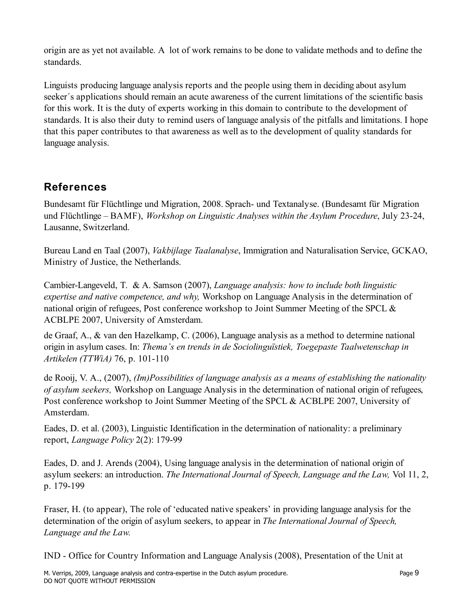origin are as yet not available. A lot of work remains to be done to validate methods and to define the standards.

Linguists producing language analysis reports and the people using them in deciding about asylum seeker´s applications should remain an acute awareness of the current limitations of the scientific basis for this work. It is the duty of experts working in this domain to contribute to the development of standards. It is also their duty to remind users of language analysis of the pitfalls and limitations. I hope that this paper contributes to that awareness as well as to the development of quality standards for language analysis.

## **References**

Bundesamt für Flüchtlinge und Migration, 2008. Sprach- und Textanalyse. (Bundesamt für Migration und Flüchtlinge – BAMF), *Workshop on Linguistic Analyses within the Asylum Procedure*, July 23-24, Lausanne, Switzerland.

Bureau Land en Taal (2007), *Vakbijlage Taalanalyse*, Immigration and Naturalisation Service, GCKAO, Ministry of Justice, the Netherlands.

Cambier-Langeveld, T. & A. Samson (2007), *Language analysis: how to include both linguistic expertise and native competence, and why,* Workshop on Language Analysis in the determination of national origin of refugees, Post conference workshop to Joint Summer Meeting of the SPCL & ACBLPE 2007, University of Amsterdam.

de Graaf, A., & van den Hazelkamp, C. (2006), Language analysis as a method to determine national origin in asylum cases. In: *Thema's en trends in de Sociolinguïstiek, Toegepaste Taalwetenschap in Artikelen (TTWiA)* 76, p. 101-110

de Rooij, V. A., (2007), *(Im)Possibilities of language analysis as a means of establishing the nationality of asylum seekers,* Workshop on Language Analysis in the determination of national origin of refugees, Post conference workshop to Joint Summer Meeting of the SPCL & ACBLPE 2007, University of Amsterdam.

Eades, D. et al. (2003), Linguistic Identification in the determination of nationality: a preliminary report, *Language Policy* 2(2): 179-99

Eades, D. and J. Arends (2004), Using language analysis in the determination of national origin of asylum seekers: an introduction. *The International Journal of Speech, Language and the Law,* Vol 11, 2, p. 179-199

Fraser, H. (to appear), The role of 'educated native speakers' in providing language analysis for the determination of the origin of asylum seekers, to appear in *The International Journal of Speech, Language and the Law.*

IND - Office for Country Information and Language Analysis (2008), Presentation of the Unit at